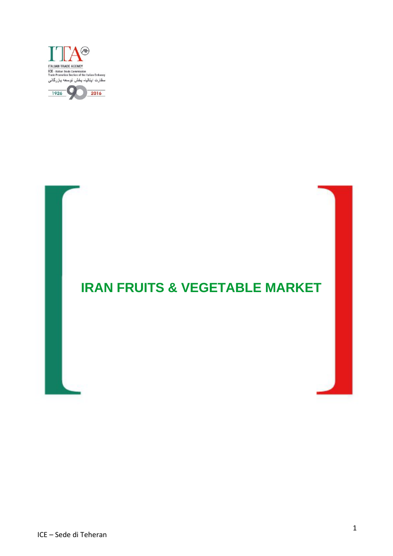



# **IRAN FRUITS & VEGETABLE MARKET**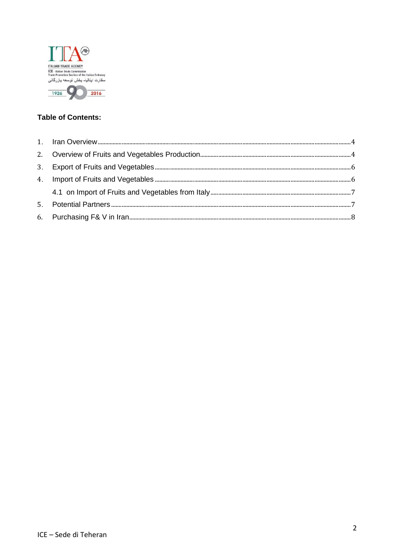

### **Table of Contents:**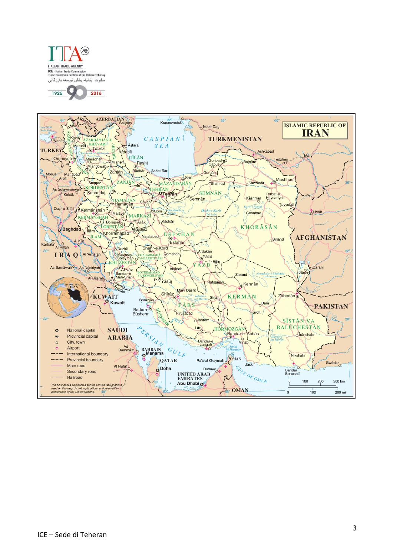

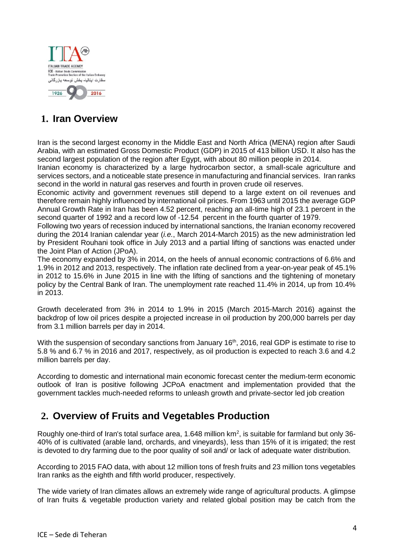

# <span id="page-3-0"></span>**1. Iran Overview**

Iran is the second largest economy in the Middle East and North Africa (MENA) region after Saudi Arabia, with an estimated Gross Domestic Product (GDP) in 2015 of 413 billion USD. It also has the second largest population of the region after Egypt, with about 80 million people in 2014.

Iranian economy is characterized by a large hydrocarbon sector, a small-scale agriculture and services sectors, and a noticeable state presence in manufacturing and financial services. Iran ranks second in the world in natural gas reserves and fourth in proven crude oil reserves.

Economic activity and government revenues still depend to a large extent on oil revenues and therefore remain highly influenced by international oil prices. From 1963 until 2015 the average GDP Annual Growth Rate in Iran has been 4.52 percent, reaching an all-time high of 23.1 percent in the second quarter of 1992 and a record low of -12.54 percent in the fourth quarter of 1979.

Following two years of recession induced by international sanctions, the Iranian economy recovered during the 2014 Iranian calendar year (*i.e.*, March 2014-March 2015) as the new administration led by President Rouhani took office in July 2013 and a partial lifting of sanctions was enacted under the Joint Plan of Action (JPoA).

The economy expanded by 3% in 2014, on the heels of annual economic contractions of 6.6% and 1.9% in 2012 and 2013, respectively. The inflation rate declined from a year-on-year peak of 45.1% in 2012 to 15.6% in June 2015 in line with the lifting of sanctions and the tightening of monetary policy by the Central Bank of Iran. The unemployment rate reached 11.4% in 2014, up from 10.4% in 2013.

Growth decelerated from 3% in 2014 to 1.9% in 2015 (March 2015-March 2016) against the backdrop of low oil prices despite a projected increase in oil production by 200,000 barrels per day from 3.1 million barrels per day in 2014.

With the suspension of secondary sanctions from January 16<sup>th</sup>, 2016, real GDP is estimate to rise to 5.8 % and 6.7 % in 2016 and 2017, respectively, as oil production is expected to reach 3.6 and 4.2 million barrels per day.

According to domestic and international main economic forecast center the medium-term economic outlook of Iran is positive following JCPoA enactment and implementation provided that the government tackles much-needed reforms to unleash growth and private-sector led job creation

### <span id="page-3-1"></span>**2. Overview of Fruits and Vegetables Production**

Roughly one-third of Iran's total surface area, 1.648 million  $km^2$ , is suitable for farmland but only 36-40% of is cultivated (arable land, orchards, and vineyards), less than 15% of it is irrigated; the rest is devoted to dry farming due to the poor quality of soil and/ or lack of adequate water distribution.

According to 2015 FAO data, with about 12 million tons of fresh fruits and 23 million tons vegetables Iran ranks as the eighth and fifth world producer, respectively.

The wide variety of Iran climates allows an extremely wide range of agricultural products. A glimpse of Iran fruits & vegetable production variety and related global position may be catch from the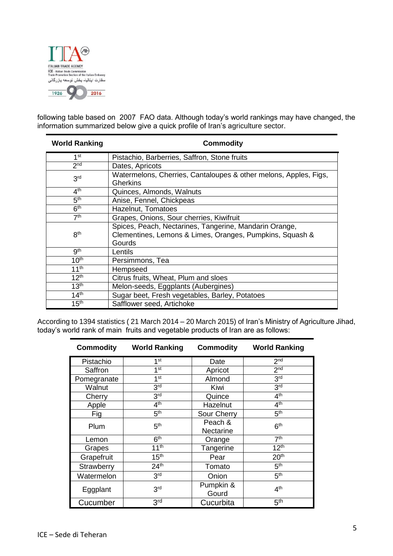

following table based on 2007 FAO data. Although today's world rankings may have changed, the information summarized below give a quick profile of Iran's agriculture sector.

| <b>World Ranking</b> | <b>Commodity</b>                                                                                                             |  |  |  |
|----------------------|------------------------------------------------------------------------------------------------------------------------------|--|--|--|
| 1 <sup>st</sup>      | Pistachio, Barberries, Saffron, Stone fruits                                                                                 |  |  |  |
| 2 <sub>nd</sub>      | Dates, Apricots                                                                                                              |  |  |  |
| 3 <sup>rd</sup>      | Watermelons, Cherries, Cantaloupes & other melons, Apples, Figs,<br><b>Gherkins</b>                                          |  |  |  |
| 4 <sup>th</sup>      | Quinces, Almonds, Walnuts                                                                                                    |  |  |  |
| 5 <sup>th</sup>      | Anise, Fennel, Chickpeas                                                                                                     |  |  |  |
| 6 <sup>th</sup>      | Hazelnut, Tomatoes                                                                                                           |  |  |  |
| 7 <sup>th</sup>      | Grapes, Onions, Sour cherries, Kiwifruit                                                                                     |  |  |  |
| 8 <sup>th</sup>      | Spices, Peach, Nectarines, Tangerine, Mandarin Orange,<br>Clementines, Lemons & Limes, Oranges, Pumpkins, Squash &<br>Gourds |  |  |  |
| 9 <sup>th</sup>      | Lentils                                                                                                                      |  |  |  |
| 10 <sup>th</sup>     | Persimmons, Tea                                                                                                              |  |  |  |
| 11 <sup>th</sup>     | Hempseed                                                                                                                     |  |  |  |
| 12 <sup>th</sup>     | Citrus fruits, Wheat, Plum and sloes                                                                                         |  |  |  |
| 13 <sup>th</sup>     | Melon-seeds, Eggplants (Aubergines)                                                                                          |  |  |  |
| 14 <sup>th</sup>     | Sugar beet, Fresh vegetables, Barley, Potatoes                                                                               |  |  |  |
| 15 <sup>th</sup>     | Safflower seed, Artichoke                                                                                                    |  |  |  |

According to 1394 statistics ( 21 March 2014 – 20 March 2015) of Iran's Ministry of Agriculture Jihad, today's world rank of main fruits and vegetable products of Iran are as follows:

| <b>Commodity</b> | <b>World Ranking</b> | <b>Commodity</b>                               | <b>World Ranking</b> |
|------------------|----------------------|------------------------------------------------|----------------------|
| Pistachio        | 1 <sup>st</sup>      | Date                                           | 2 <sub>nd</sub>      |
| Saffron          | 1 <sup>st</sup>      | 2 <sub>nd</sub><br>Apricot                     |                      |
| Pomegranate      | 1 <sup>st</sup>      | 3 <sup>rd</sup><br>Almond                      |                      |
| Walnut           | 3 <sup>rd</sup>      | 3 <sup>rd</sup><br>Kiwi                        |                      |
| Cherry           | 3 <sup>rd</sup>      | Quince                                         | 4 <sup>th</sup>      |
| Apple            | 4 <sup>th</sup>      | Hazelnut                                       | 4 <sup>th</sup>      |
| Fig              | 5 <sup>th</sup>      | Sour Cherry                                    | 5 <sup>th</sup>      |
| Plum             | 5 <sup>th</sup>      | Peach &<br>6 <sup>th</sup><br><b>Nectarine</b> |                      |
| Lemon            | 6 <sup>th</sup>      | Orange                                         | 7 <sup>th</sup>      |
| Grapes           | 11 <sup>th</sup>     | Tangerine                                      | 12 <sup>th</sup>     |
| Grapefruit       | 15 <sup>th</sup>     | Pear                                           | 20 <sup>th</sup>     |
| Strawberry       | 24 <sup>th</sup>     | Tomato                                         | 5 <sup>th</sup>      |
| Watermelon       | 3 <sup>rd</sup>      | Onion                                          | 5 <sup>th</sup>      |
| Eggplant         | 3 <sup>rd</sup>      | Pumpkin &<br>Gourd                             | 4 <sup>th</sup>      |
| Cucumber         | 3rd                  | Cucurbita                                      | 5 <sup>th</sup>      |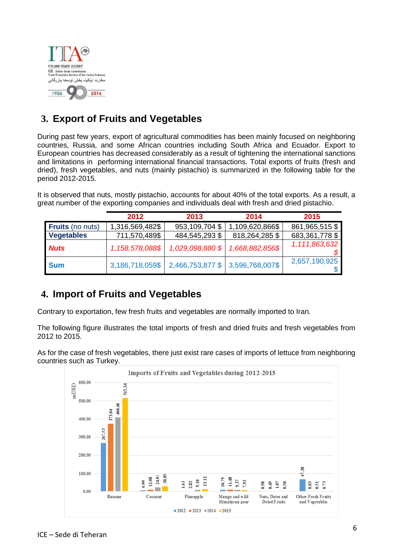

# <span id="page-5-0"></span>**3. Export of Fruits and Vegetables**

During past few years, export of agricultural commodities has been mainly focused on neighboring countries, Russia, and some African countries including South Africa and Ecuador. Export to European countries has decreased considerably as a result of tightening the international sanctions and limitations in performing international financial transactions. Total exports of fruits (fresh and dried), fresh vegetables, and nuts (mainly pistachio) is summarized in the following table for the period 2012-2015.

It is observed that nuts, mostly pistachio, accounts for about 40% of the total exports. As a result, a great number of the exporting companies and individuals deal with fresh and dried pistachio.

|                         | 2012            | 2013                             | 2014            | 2015             |
|-------------------------|-----------------|----------------------------------|-----------------|------------------|
| <b>Fruits</b> (no nuts) | 1,316,569,482\$ | 953,109,704 \$                   | 1,109,620,866\$ | 861,965,515 \$   |
| <b>Vegetables</b>       | 711,570,489\$   | 484,545,293 \$                   | 818,264,285 \$  | 683, 361, 778 \$ |
| <b>Nuts</b>             | 1,158,578,088\$ | 1,029,098,880 \$                 | 1,668,882,856\$ | 1,111,863,632    |
| <b>Sum</b>              | 3,186,718,059\$ | 2,466,753,877 \$ 3,596,768,007\$ |                 | 2,657,190,925    |

### <span id="page-5-1"></span>**4. Import of Fruits and Vegetables**

Contrary to exportation, few fresh fruits and vegetables are normally imported to Iran.

The following figure illustrates the total imports of fresh and dried fruits and fresh vegetables from 2012 to 2015.

As for the case of fresh vegetables, there just exist rare cases of imports of lettuce from neighboring countries such as Turkey.

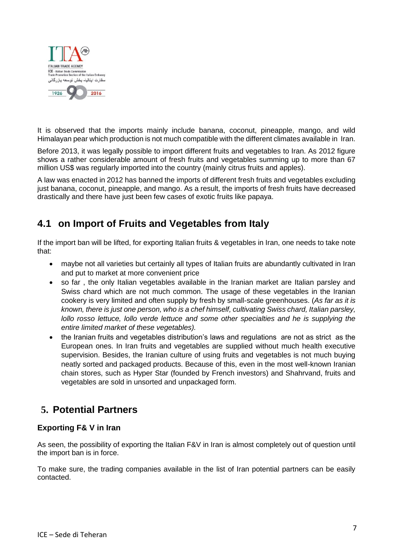

It is observed that the imports mainly include banana, coconut, pineapple, mango, and wild Himalayan pear which production is not much compatible with the different climates available in Iran.

Before 2013, it was legally possible to import different fruits and vegetables to Iran. As 2012 figure shows a rather considerable amount of fresh fruits and vegetables summing up to more than 67 million US\$ was regularly imported into the country (mainly citrus fruits and apples).

A law was enacted in 2012 has banned the imports of different fresh fruits and vegetables excluding just banana, coconut, pineapple, and mango. As a result, the imports of fresh fruits have decreased drastically and there have just been few cases of exotic fruits like papaya.

### <span id="page-6-0"></span>**4.1 on Import of Fruits and Vegetables from Italy**

If the import ban will be lifted, for exporting Italian fruits & vegetables in Iran, one needs to take note that:

- maybe not all varieties but certainly all types of Italian fruits are abundantly cultivated in Iran and put to market at more convenient price
- so far , the only Italian vegetables available in the Iranian market are Italian parsley and Swiss chard which are not much common. The usage of these vegetables in the Iranian cookery is very limited and often supply by fresh by small-scale greenhouses. (*As far as it is known, there is just one person, who is a chef himself, cultivating Swiss chard, Italian parsley, lollo rosso lettuce, lollo verde lettuce and some other specialties and he is supplying the entire limited market of these vegetables).*
- the Iranian fruits and vegetables distribution's laws and regulations are not as strict as the European ones. In Iran fruits and vegetables are supplied without much health executive supervision. Besides, the Iranian culture of using fruits and vegetables is not much buying neatly sorted and packaged products. Because of this, even in the most well-known Iranian chain stores, such as Hyper Star (founded by French investors) and Shahrvand, fruits and vegetables are sold in unsorted and unpackaged form.

### <span id="page-6-1"></span>**5. Potential Partners**

### **Exporting F& V in Iran**

As seen, the possibility of exporting the Italian F&V in Iran is almost completely out of question until the import ban is in force.

To make sure, the trading companies available in the list of Iran potential partners can be easily contacted.